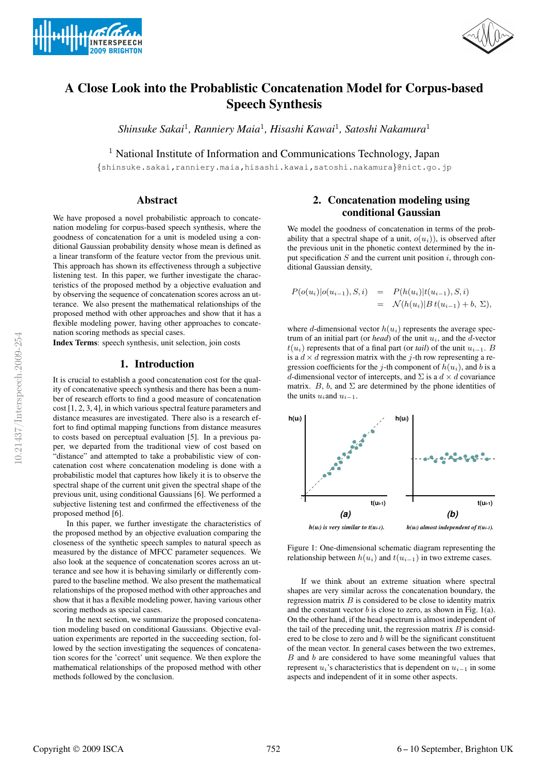



# **A Close Look into the Probablistic Concatenation Model for Corpus-based Speech Synthesis**

*Shinsuke Sakai*<sup>1</sup> *, Ranniery Maia*<sup>1</sup> *, Hisashi Kawai*<sup>1</sup> *, Satoshi Nakamura* 1

<sup>1</sup> National Institute of Information and Communications Technology, Japan

{shinsuke.sakai,ranniery.maia,hisashi.kawai,satoshi.nakamura}@nict.go.jp

#### **Abstract**

We have proposed a novel probabilistic approach to concatenation modeling for corpus-based speech synthesis, where the goodness of concatenation for a unit is modeled using a conditional Gaussian probability density whose mean is defined as a linear transform of the feature vector from the previous unit. This approach has shown its effectiveness through a subjective listening test. In this paper, we further investigate the characteristics of the proposed method by a objective evaluation and by observing the sequence of concatenation scores across an utterance. We also present the mathematical relationships of the proposed method with other approaches and show that it has a flexible modeling power, having other approaches to concatenation scoring methods as special cases.

**Index Terms**: speech synthesis, unit selection, join costs

#### **1. Introduction**

It is crucial to establish a good concatenation cost for the quality of concatenative speech synthesis and there has been a number of research efforts to find a good measure of concatenation cost [1, 2, 3, 4], in which various spectral feature parameters and distance measures are investigated. There also is a research effort to find optimal mapping functions from distance measures to costs based on perceptual evaluation [5]. In a previous paper, we departed from the traditional view of cost based on "distance" and attempted to take a probabilistic view of concatenation cost where concatenation modeling is done with a probabilistic model that captures how likely it is to observe the spectral shape of the current unit given the spectral shape of the previous unit, using conditional Gaussians [6]. We performed a subjective listening test and confirmed the effectiveness of the proposed method [6].

In this paper, we further investigate the characteristics of the proposed method by an objective evaluation comparing the closeness of the synthetic speech samples to natural speech as measured by the distance of MFCC parameter sequences. We also look at the sequence of concatenation scores across an utterance and see how it is behaving similarly or differently compared to the baseline method. We also present the mathematical relationships of the proposed method with other approaches and show that it has a flexible modeling power, having various other scoring methods as special cases.

In the next section, we summarize the proposed concatenation modeling based on conditional Gaussians. Objective evaluation experiments are reported in the succeeding section, followed by the section investigating the sequences of concatenation scores for the 'correct' unit sequence. We then explore the mathematical relationships of the proposed method with other methods followed by the conclusion.

## **2. Concatenation modeling using conditional Gaussian**

We model the goodness of concatenation in terms of the probability that a spectral shape of a unit,  $o(u_i)$ ), is observed after the previous unit in the phonetic context determined by the input specification  $S$  and the current unit position i, through conditional Gaussian density,

$$
P(o(u_i)|o(u_{i-1}), S, i) = P(h(u_i)|t(u_{i-1}), S, i)
$$
  
=  $\mathcal{N}(h(u_i)|B t(u_{i-1}) + b, \Sigma),$ 

where d-dimensional vector  $h(u_i)$  represents the average spectrum of an initial part (or *head*) of the unit  $u_i$ , and the d-vector  $t(u_i)$  represents that of a final part (or *tail*) of the unit  $u_{i-1}$ . B is a  $d \times d$  regression matrix with the j-th row representing a regression coefficients for the j-th component of  $h(u_i)$ , and b is a d-dimensional vector of intercepts, and  $\Sigma$  is a  $d \times d$  covariance matrix. B, b, and  $\Sigma$  are determined by the phone identities of the units  $u_i$  and  $u_{i-1}$ .



Figure 1: One-dimensional schematic diagram representing the relationship between  $h(u_i)$  and  $t(u_{i-1})$  in two extreme cases.

If we think about an extreme situation where spectral shapes are very similar across the concatenation boundary, the regression matrix  $B$  is considered to be close to identity matrix and the constant vector  $b$  is close to zero, as shown in Fig. 1(a). On the other hand, if the head spectrum is almost independent of the tail of the preceding unit, the regression matrix  $B$  is considered to be close to zero and  $b$  will be the significant constituent of the mean vector. In general cases between the two extremes,  $B$  and  $b$  are considered to have some meaningful values that represent  $u_i$ 's characteristics that is dependent on  $u_{i-1}$  in some aspects and independent of it in some other aspects.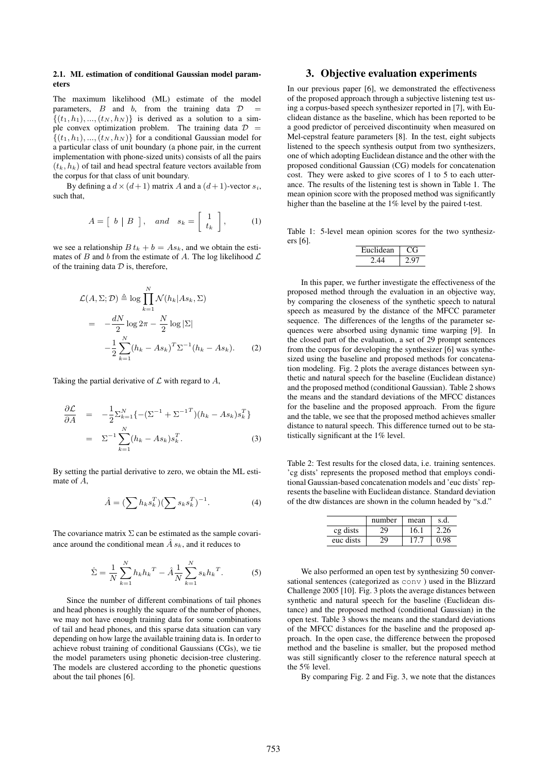#### **2.1. ML estimation of conditional Gaussian model parameters**

The maximum likelihood (ML) estimate of the model parameters,  $B$  and  $b$ , from the training data  $D$  $\{(t_1, h_1), ..., (t_N, h_N)\}\$ is derived as a solution to a simple convex optimization problem. The training data  $\mathcal{D}$  =  $\{(t_1, h_1), ..., (t_N, h_N)\}\$  for a conditional Gaussian model for a particular class of unit boundary (a phone pair, in the current implementation with phone-sized units) consists of all the pairs  $(t_k, h_k)$  of tail and head spectral feature vectors available from the corpus for that class of unit boundary.

By defining a  $d \times (d+1)$  matrix A and a  $(d+1)$ -vector  $s_i$ , such that,

$$
A = \left[ \begin{array}{c|c} b & B \end{array} \right], \quad and \quad s_k = \left[ \begin{array}{c} 1 \\ t_k \end{array} \right], \tag{1}
$$

we see a relationship  $B t_k + b = A s_k$ , and we obtain the estimates of B and b from the estimate of A. The log likelihood  $\mathcal L$ of the training data  $D$  is, therefore,

$$
\mathcal{L}(A, \Sigma; \mathcal{D}) \triangleq \log \prod_{k=1}^{N} \mathcal{N}(h_k | As_k, \Sigma)
$$
  
= 
$$
-\frac{dN}{2} \log 2\pi - \frac{N}{2} \log |\Sigma|
$$

$$
-\frac{1}{2} \sum_{k=1}^{N} (h_k - As_k)^T \Sigma^{-1} (h_k - As_k). \qquad (2)
$$

Taking the partial derivative of  $\mathcal L$  with regard to  $A$ ,

$$
\frac{\partial \mathcal{L}}{\partial A} = -\frac{1}{2} \sum_{k=1}^{N} \{ -(\Sigma^{-1} + \Sigma^{-1}^{T})(h_k - As_k)s_k^T \}
$$

$$
= \Sigma^{-1} \sum_{k=1}^{N} (h_k - As_k)s_k^T.
$$
 (3)

By setting the partial derivative to zero, we obtain the ML estimate of A,

$$
\hat{A} = (\sum h_k s_k^T) (\sum s_k s_k^T)^{-1}.
$$
 (4)

The covariance matrix  $\Sigma$  can be estimated as the sample covariance around the conditional mean  $\hat{A}$  s<sub>k</sub>, and it reduces to

$$
\hat{\Sigma} = \frac{1}{N} \sum_{k=1}^{N} h_k h_k^T - \hat{A} \frac{1}{N} \sum_{k=1}^{N} s_k h_k^T.
$$
 (5)

Since the number of different combinations of tail phones and head phones is roughly the square of the number of phones, we may not have enough training data for some combinations of tail and head phones, and this sparse data situation can vary depending on how large the available training data is. In order to achieve robust training of conditional Gaussians (CGs), we tie the model parameters using phonetic decision-tree clustering. The models are clustered according to the phonetic questions about the tail phones [6].

## **3. Objective evaluation experiments**

In our previous paper [6], we demonstrated the effectiveness of the proposed approach through a subjective listening test using a corpus-based speech synthesizer reported in [7], with Euclidean distance as the baseline, which has been reported to be a good predictor of perceived discontinuity when measured on Mel-cepstral feature parameters [8]. In the test, eight subjects listened to the speech synthesis output from two synthesizers, one of which adopting Euclidean distance and the other with the proposed conditional Gaussian (CG) models for concatenation cost. They were asked to give scores of 1 to 5 to each utterance. The results of the listening test is shown in Table 1. The mean opinion score with the proposed method was significantly higher than the baseline at the 1% level by the paired t-test.

Table 1: 5-level mean opinion scores for the two synthesizers [6].

| Euclidean |  |
|-----------|--|
|           |  |

In this paper, we further investigate the effectiveness of the proposed method through the evaluation in an objective way, by comparing the closeness of the synthetic speech to natural speech as measured by the distance of the MFCC parameter sequence. The differences of the lengths of the parameter sequences were absorbed using dynamic time warping [9]. In the closed part of the evaluation, a set of 29 prompt sentences from the corpus for developing the synthesizer [6] was synthesized using the baseline and proposed methods for concatenation modeling. Fig. 2 plots the average distances between synthetic and natural speech for the baseline (Euclidean distance) and the proposed method (conditional Gaussian). Table 2 shows the means and the standard deviations of the MFCC distances for the baseline and the proposed approach. From the figure and the table, we see that the proposed method achieves smaller distance to natural speech. This difference turned out to be statistically significant at the 1% level.

Table 2: Test results for the closed data, i.e. training sentences. 'cg dists' represents the proposed method that employs conditional Gaussian-based concatenation models and 'euc dists' represents the baseline with Euclidean distance. Standard deviation of the dtw distances are shown in the column headed by "s.d."

|           | number | mean       | s.d. |
|-----------|--------|------------|------|
| cg dists  | ٥g     | 16.1       | 2.26 |
| euc dists |        | $\sqrt{7}$ |      |

We also performed an open test by synthesizing 50 conversational sentences (categorized as conv ) used in the Blizzard Challenge 2005 [10]. Fig. 3 plots the average distances between synthetic and natural speech for the baseline (Euclidean distance) and the proposed method (conditional Gaussian) in the open test. Table 3 shows the means and the standard deviations of the MFCC distances for the baseline and the proposed approach. In the open case, the difference between the proposed method and the baseline is smaller, but the proposed method was still significantly closer to the reference natural speech at the 5% level.

By comparing Fig. 2 and Fig. 3, we note that the distances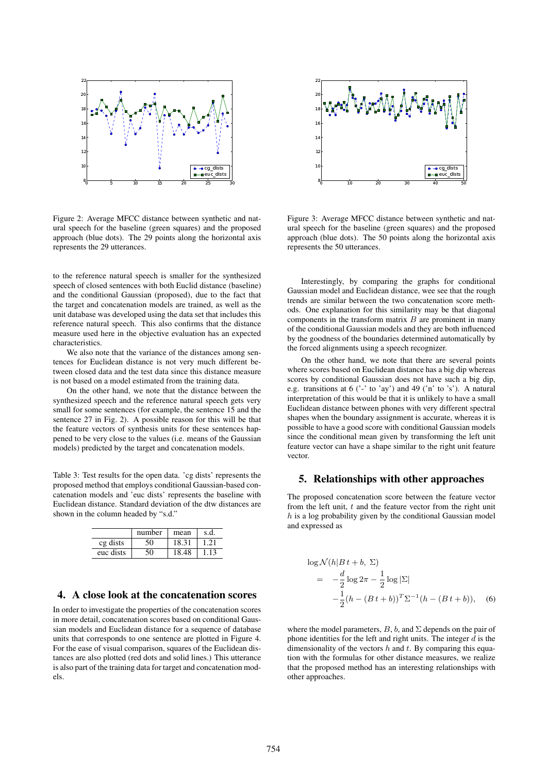

Figure 2: Average MFCC distance between synthetic and natural speech for the baseline (green squares) and the proposed approach (blue dots). The 29 points along the horizontal axis represents the 29 utterances.

to the reference natural speech is smaller for the synthesized speech of closed sentences with both Euclid distance (baseline) and the conditional Gaussian (proposed), due to the fact that the target and concatenation models are trained, as well as the unit database was developed using the data set that includes this reference natural speech. This also confirms that the distance measure used here in the objective evaluation has an expected characteristics.

We also note that the variance of the distances among sentences for Euclidean distance is not very much different between closed data and the test data since this distance measure is not based on a model estimated from the training data.

On the other hand, we note that the distance between the synthesized speech and the reference natural speech gets very small for some sentences (for example, the sentence 15 and the sentence 27 in Fig. 2). A possible reason for this will be that the feature vectors of synthesis units for these sentences happened to be very close to the values (i.e. means of the Gaussian models) predicted by the target and concatenation models.

Table 3: Test results for the open data. 'cg dists' represents the proposed method that employs conditional Gaussian-based concatenation models and 'euc dists' represents the baseline with Euclidean distance. Standard deviation of the dtw distances are shown in the column headed by "s.d."

|           | number | mean  | s.d. |
|-----------|--------|-------|------|
| cg dists  |        | 18.31 |      |
| euc dists |        | 18.48 |      |

## **4. A close look at the concatenation scores**

In order to investigate the properties of the concatenation scores in more detail, concatenation scores based on conditional Gaussian models and Euclidean distance for a sequence of database units that corresponds to one sentence are plotted in Figure 4. For the ease of visual comparison, squares of the Euclidean distances are also plotted (red dots and solid lines.) This utterance is also part of the training data for target and concatenation models.



Figure 3: Average MFCC distance between synthetic and natural speech for the baseline (green squares) and the proposed approach (blue dots). The 50 points along the horizontal axis represents the 50 utterances.

Interestingly, by comparing the graphs for conditional Gaussian model and Euclidean distance, wee see that the rough trends are similar between the two concatenation score methods. One explanation for this similarity may be that diagonal components in the transform matrix  $B$  are prominent in many of the conditional Gaussian models and they are both influenced by the goodness of the boundaries determined automatically by the forced alignments using a speech recognizer.

On the other hand, we note that there are several points where scores based on Euclidean distance has a big dip whereas scores by conditional Gaussian does not have such a big dip, e.g. transitions at  $6$  ('-' to 'ay') and  $49$  ('n' to 's'). A natural interpretation of this would be that it is unlikely to have a small Euclidean distance between phones with very different spectral shapes when the boundary assignment is accurate, whereas it is possible to have a good score with conditional Gaussian models since the conditional mean given by transforming the left unit feature vector can have a shape similar to the right unit feature vector.

#### **5. Relationships with other approaches**

The proposed concatenation score between the feature vector from the left unit,  $t$  and the feature vector from the right unit  $h$  is a log probability given by the conditional Gaussian model and expressed as

$$
\log \mathcal{N}(h|B t + b, \Sigma)
$$
  
=  $-\frac{d}{2} \log 2\pi - \frac{1}{2} \log |\Sigma|$   
 $-\frac{1}{2} (h - (B t + b))^T \Sigma^{-1} (h - (B t + b)),$  (6)

where the model parameters,  $B$ ,  $b$ , and  $\Sigma$  depends on the pair of phone identities for the left and right units. The integer  $\overline{d}$  is the dimensionality of the vectors  $h$  and  $t$ . By comparing this equation with the formulas for other distance measures, we realize that the proposed method has an interesting relationships with other approaches.